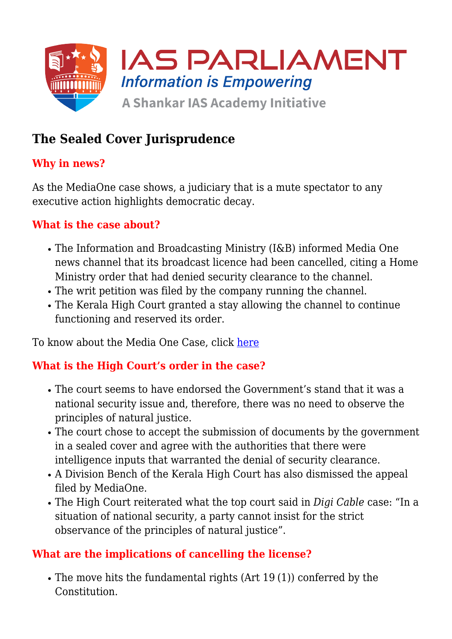

# **The Sealed Cover Jurisprudence**

### **Why in news?**

As the MediaOne case shows, a judiciary that is a mute spectator to any executive action highlights democratic decay.

#### **What is the case about?**

- The Information and Broadcasting Ministry (I&B) informed Media One news channel that its broadcast licence had been cancelled, citing a Home Ministry order that had denied security clearance to the channel.
- The writ petition was filed by the company running the channel.
- The Kerala High Court granted a stay allowing the channel to continue functioning and reserved its order.

To know about the Media One Case, click [here](https://www.iasparliament.com/current-affairs/kerala-high-court-in-media-one-case)

#### **What is the High Court's order in the case?**

- The court seems to have endorsed the Government's stand that it was a national security issue and, therefore, there was no need to observe the principles of natural justice.
- The court chose to accept the submission of documents by the government in a sealed cover and agree with the authorities that there were intelligence inputs that warranted the denial of security clearance.
- A Division Bench of the Kerala High Court has also dismissed the appeal filed by MediaOne.
- The High Court reiterated what the top court said in *Digi Cable* case: "In a situation of national security, a party cannot insist for the strict observance of the principles of natural justice".

#### **What are the implications of cancelling the license?**

The move hits the fundamental rights (Art 19 (1)) conferred by the Constitution.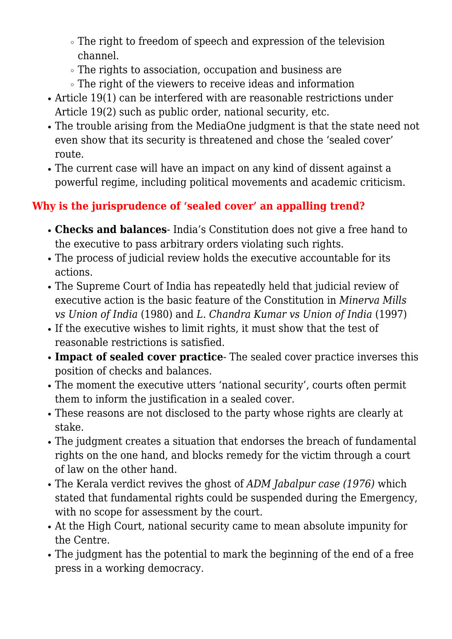- The right to freedom of speech and expression of the television channel.
- The rights to association, occupation and business are
- The right of the viewers to receive ideas and information
- Article 19(1) can be interfered with are reasonable restrictions under Article 19(2) such as public order, national security, etc.
- The trouble arising from the MediaOne judgment is that the state need not even show that its security is threatened and chose the 'sealed cover' route.
- The current case will have an impact on any kind of dissent against a powerful regime, including political movements and academic criticism.

## **Why is the jurisprudence of 'sealed cover' an appalling trend?**

- **Checks and balances** India's Constitution does not give a free hand to the executive to pass arbitrary orders violating such rights.
- The process of judicial review holds the executive accountable for its actions.
- The Supreme Court of India has repeatedly held that judicial review of executive action is the basic feature of the Constitution in *Minerva Mills vs Union of India* (1980) and *L. Chandra Kumar vs Union of India* (1997)
- If the executive wishes to limit rights, it must show that the test of reasonable restrictions is satisfied.
- **Impact of sealed cover practice** The sealed cover practice inverses this position of checks and balances.
- The moment the executive utters 'national security', courts often permit them to inform the justification in a sealed cover.
- These reasons are not disclosed to the party whose rights are clearly at stake.
- The judgment creates a situation that endorses the breach of fundamental rights on the one hand, and blocks remedy for the victim through a court of law on the other hand.
- The Kerala verdict revives the ghost of *ADM Jabalpur case (1976)* which stated that fundamental rights could be suspended during the Emergency, with no scope for assessment by the court.
- At the High Court, national security came to mean absolute impunity for the Centre.
- The judgment has the potential to mark the beginning of the end of a free press in a working democracy.